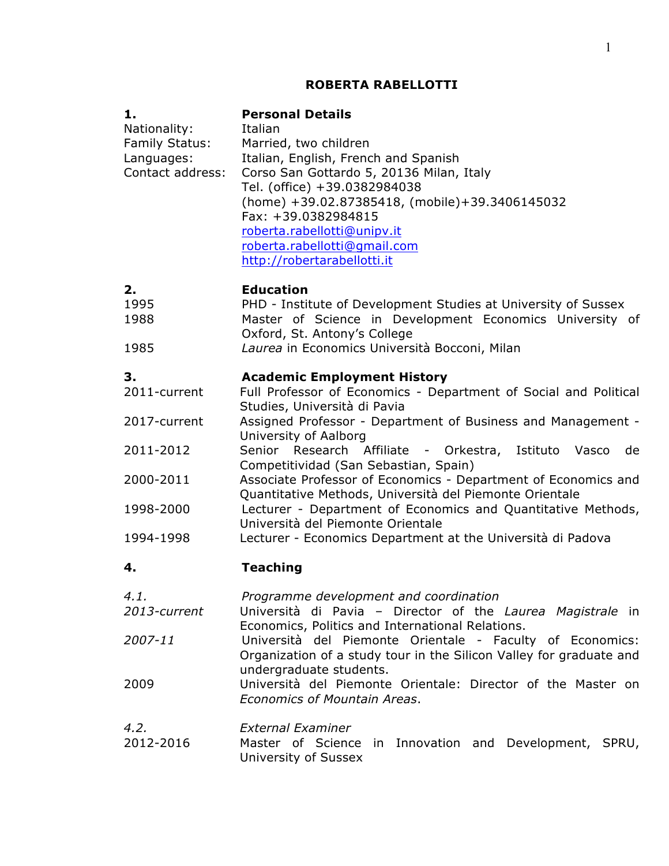# **ROBERTA RABELLOTTI**

| 1.<br>Nationality:<br><b>Family Status:</b><br>Languages:<br>Contact address: | <b>Personal Details</b><br>Italian<br>Married, two children<br>Italian, English, French and Spanish<br>Corso San Gottardo 5, 20136 Milan, Italy<br>Tel. (office) +39.0382984038<br>(home) +39.02.87385418, (mobile)+39.3406145032<br>Fax: +39.0382984815<br>roberta.rabellotti@unipv.it<br>roberta.rabellotti@gmail.com<br>http://robertarabellotti.it |
|-------------------------------------------------------------------------------|--------------------------------------------------------------------------------------------------------------------------------------------------------------------------------------------------------------------------------------------------------------------------------------------------------------------------------------------------------|
| 2.<br>1995<br>1988                                                            | <b>Education</b><br>PHD - Institute of Development Studies at University of Sussex<br>Master of Science in Development Economics University of<br>Oxford, St. Antony's College                                                                                                                                                                         |
| 1985                                                                          | Laurea in Economics Università Bocconi, Milan                                                                                                                                                                                                                                                                                                          |
| 3.<br>2011-current                                                            | <b>Academic Employment History</b><br>Full Professor of Economics - Department of Social and Political<br>Studies, Università di Pavia                                                                                                                                                                                                                 |
| 2017-current                                                                  | Assigned Professor - Department of Business and Management -<br>University of Aalborg                                                                                                                                                                                                                                                                  |
| 2011-2012                                                                     | Istituto Vasco<br>Senior Research Affiliate - Orkestra,<br>de<br>Competitividad (San Sebastian, Spain)                                                                                                                                                                                                                                                 |
| 2000-2011                                                                     | Associate Professor of Economics - Department of Economics and<br>Quantitative Methods, Università del Piemonte Orientale                                                                                                                                                                                                                              |
| 1998-2000                                                                     | Lecturer - Department of Economics and Quantitative Methods,<br>Università del Piemonte Orientale                                                                                                                                                                                                                                                      |
| 1994-1998                                                                     | Lecturer - Economics Department at the Università di Padova                                                                                                                                                                                                                                                                                            |
| 4.                                                                            | <b>Teaching</b>                                                                                                                                                                                                                                                                                                                                        |
| 4.1.<br>2013-current                                                          | Programme development and coordination<br>Università di Pavia - Director of the Laurea Magistrale in<br>Economics, Politics and International Relations.                                                                                                                                                                                               |
| 2007-11                                                                       | Università del Piemonte Orientale - Faculty of Economics:<br>Organization of a study tour in the Silicon Valley for graduate and                                                                                                                                                                                                                       |
| 2009                                                                          | undergraduate students.<br>Università del Piemonte Orientale: Director of the Master on<br>Economics of Mountain Areas.                                                                                                                                                                                                                                |
| 4.2.<br>2012-2016                                                             | <b>External Examiner</b><br>Master of Science in Innovation and Development, SPRU,<br>University of Sussex                                                                                                                                                                                                                                             |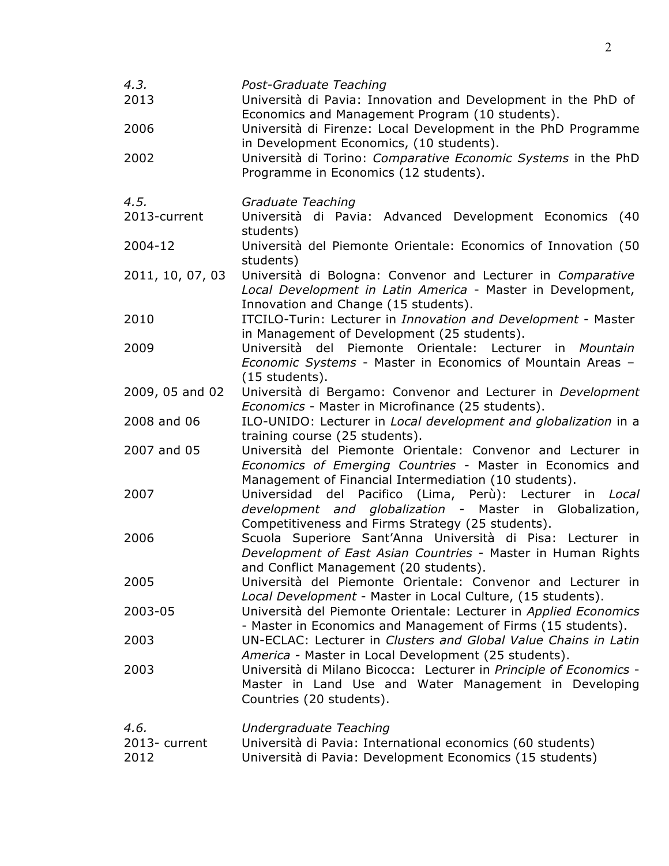| 4.3.<br>2013<br>2006<br>2002  | Post-Graduate Teaching<br>Università di Pavia: Innovation and Development in the PhD of<br>Economics and Management Program (10 students).<br>Università di Firenze: Local Development in the PhD Programme<br>in Development Economics, (10 students).<br>Università di Torino: Comparative Economic Systems in the PhD<br>Programme in Economics (12 students). |
|-------------------------------|-------------------------------------------------------------------------------------------------------------------------------------------------------------------------------------------------------------------------------------------------------------------------------------------------------------------------------------------------------------------|
| 4.5.<br>2013-current          | Graduate Teaching<br>Università di Pavia: Advanced Development Economics (40                                                                                                                                                                                                                                                                                      |
| 2004-12                       | students)<br>Università del Piemonte Orientale: Economics of Innovation (50                                                                                                                                                                                                                                                                                       |
| 2011, 10, 07, 03              | students)<br>Università di Bologna: Convenor and Lecturer in Comparative<br>Local Development in Latin America - Master in Development,                                                                                                                                                                                                                           |
| 2010                          | Innovation and Change (15 students).<br>ITCILO-Turin: Lecturer in Innovation and Development - Master                                                                                                                                                                                                                                                             |
| 2009                          | in Management of Development (25 students).<br>Università del Piemonte Orientale: Lecturer in Mountain<br>Economic Systems - Master in Economics of Mountain Areas -<br>$(15$ students).                                                                                                                                                                          |
| 2009, 05 and 02               | Università di Bergamo: Convenor and Lecturer in Development<br>Economics - Master in Microfinance (25 students).                                                                                                                                                                                                                                                  |
| 2008 and 06                   | ILO-UNIDO: Lecturer in Local development and globalization in a<br>training course (25 students).                                                                                                                                                                                                                                                                 |
| 2007 and 05                   | Università del Piemonte Orientale: Convenor and Lecturer in<br>Economics of Emerging Countries - Master in Economics and<br>Management of Financial Intermediation (10 students).                                                                                                                                                                                 |
| 2007                          | Universidad del Pacifico (Lima, Perù): Lecturer in Local<br>development and globalization - Master in Globalization,<br>Competitiveness and Firms Strategy (25 students).                                                                                                                                                                                         |
| 2006                          | Scuola Superiore Sant'Anna Università di Pisa: Lecturer in<br>Development of East Asian Countries - Master in Human Rights<br>and Conflict Management (20 students).                                                                                                                                                                                              |
| 2005                          | Università del Piemonte Orientale: Convenor and Lecturer in<br>Local Development - Master in Local Culture, (15 students).                                                                                                                                                                                                                                        |
| 2003-05                       | Università del Piemonte Orientale: Lecturer in Applied Economics<br>- Master in Economics and Management of Firms (15 students).                                                                                                                                                                                                                                  |
| 2003                          | UN-ECLAC: Lecturer in Clusters and Global Value Chains in Latin<br>America - Master in Local Development (25 students).                                                                                                                                                                                                                                           |
| 2003                          | Università di Milano Bicocca: Lecturer in Principle of Economics -<br>Master in Land Use and Water Management in Developing<br>Countries (20 students).                                                                                                                                                                                                           |
| 4.6.<br>2013- current<br>2012 | Undergraduate Teaching<br>Università di Pavia: International economics (60 students)<br>Università di Pavia: Development Economics (15 students)                                                                                                                                                                                                                  |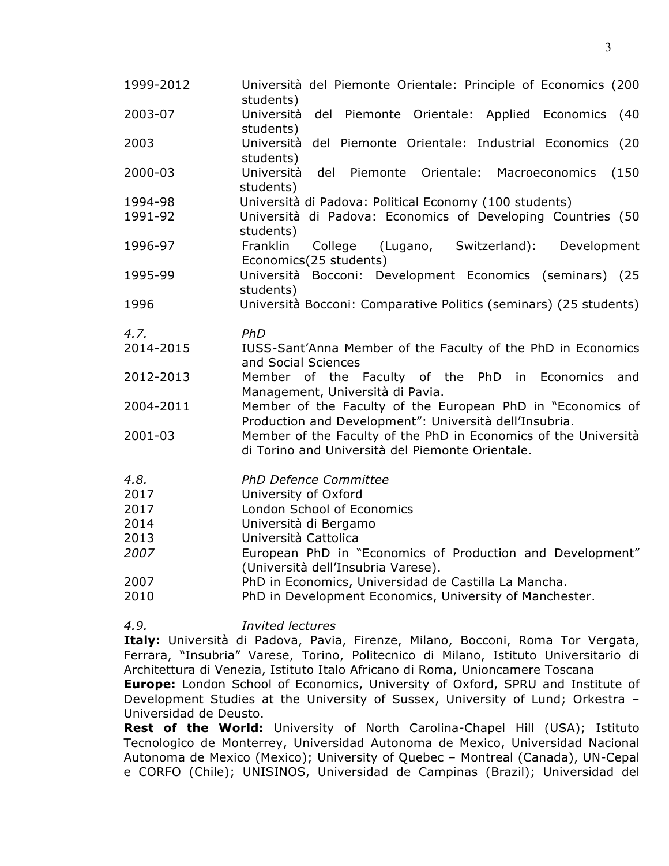| 1999-2012 | Università del Piemonte Orientale: Principle of Economics (200<br>students)                                          |
|-----------|----------------------------------------------------------------------------------------------------------------------|
| 2003-07   | Università<br>del Piemonte Orientale: Applied Economics<br>(40)<br>students)                                         |
| 2003      | Università del Piemonte Orientale: Industrial Economics (20<br>students)                                             |
| 2000-03   | Università<br>del<br>Piemonte Orientale:<br>Macroeconomics<br>(150)<br>students)                                     |
| 1994-98   | Università di Padova: Political Economy (100 students)                                                               |
| 1991-92   | Università di Padova: Economics of Developing Countries (50<br>students)                                             |
| 1996-97   | Franklin<br>College<br>(Lugano,<br>Switzerland):<br>Development<br>Economics(25 students)                            |
| 1995-99   | Università Bocconi: Development Economics (seminars) (25<br>students)                                                |
| 1996      | Università Bocconi: Comparative Politics (seminars) (25 students)                                                    |
| 4.7.      | PhD                                                                                                                  |
| 2014-2015 | IUSS-Sant'Anna Member of the Faculty of the PhD in Economics<br>and Social Sciences                                  |
| 2012-2013 | Member of the Faculty of the PhD in Economics<br>and<br>Management, Università di Pavia.                             |
| 2004-2011 | Member of the Faculty of the European PhD in "Economics of<br>Production and Development": Università dell'Insubria. |
| 2001-03   | Member of the Faculty of the PhD in Economics of the Università<br>di Torino and Università del Piemonte Orientale.  |
| 4.8.      | <b>PhD Defence Committee</b>                                                                                         |
| 2017      | University of Oxford                                                                                                 |
| 2017      | London School of Economics                                                                                           |
| 2014      | Università di Bergamo                                                                                                |
| 2013      | Università Cattolica                                                                                                 |
| 2007      | European PhD in "Economics of Production and Development"<br>(Università dell'Insubria Varese).                      |
| 2007      | PhD in Economics, Universidad de Castilla La Mancha.                                                                 |
| 2010      | PhD in Development Economics, University of Manchester.                                                              |

*4.9. Invited lectures*

**Italy:** Università di Padova, Pavia, Firenze, Milano, Bocconi, Roma Tor Vergata, Ferrara, "Insubria" Varese, Torino, Politecnico di Milano, Istituto Universitario di Architettura di Venezia, Istituto Italo Africano di Roma, Unioncamere Toscana

**Europe:** London School of Economics, University of Oxford, SPRU and Institute of Development Studies at the University of Sussex, University of Lund; Orkestra – Universidad de Deusto.

**Rest of the World:** University of North Carolina-Chapel Hill (USA); Istituto Tecnologico de Monterrey, Universidad Autonoma de Mexico, Universidad Nacional Autonoma de Mexico (Mexico); University of Quebec – Montreal (Canada), UN-Cepal e CORFO (Chile); UNISINOS, Universidad de Campinas (Brazil); Universidad del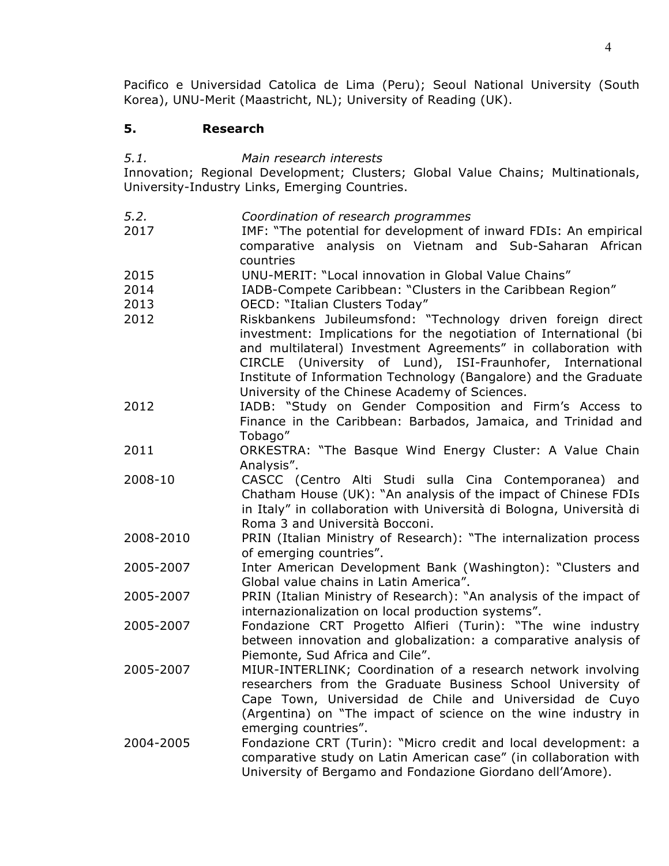Pacifico e Universidad Catolica de Lima (Peru); Seoul National University (South Korea), UNU-Merit (Maastricht, NL); University of Reading (UK).

# **5. Research**

*5.1. Main research interests*

Innovation; Regional Development; Clusters; Global Value Chains; Multinationals, University-Industry Links, Emerging Countries.

- *5.2. Coordination of research programmes*
- 2017 IMF: "The potential for development of inward FDIs: An empirical comparative analysis on Vietnam and Sub-Saharan African countries
- 2015 UNU-MERIT: "Local innovation in Global Value Chains"
- 2014 IADB-Compete Caribbean: "Clusters in the Caribbean Region"
- 2013 OECD: "Italian Clusters Today"
- 2012 Riskbankens Jubileumsfond: "Technology driven foreign direct investment: Implications for the negotiation of International (bi and multilateral) Investment Agreements" in collaboration with CIRCLE (University of Lund), ISI-Fraunhofer, International Institute of Information Technology (Bangalore) and the Graduate University of the Chinese Academy of Sciences.
- 2012 IADB: "Study on Gender Composition and Firm's Access to Finance in the Caribbean: Barbados, Jamaica, and Trinidad and Tobago"
- 2011 ORKESTRA: "The Basque Wind Energy Cluster: A Value Chain Analysis".
- 2008-10 CASCC (Centro Alti Studi sulla Cina Contemporanea) and Chatham House (UK): "An analysis of the impact of Chinese FDIs in Italy" in collaboration with Università di Bologna, Università di Roma 3 and Università Bocconi.
- 2008-2010 PRIN (Italian Ministry of Research): "The internalization process of emerging countries".
- 2005-2007 Inter American Development Bank (Washington): "Clusters and Global value chains in Latin America".
- 2005-2007 PRIN (Italian Ministry of Research): "An analysis of the impact of internazionalization on local production systems".
- 2005-2007 Fondazione CRT Progetto Alfieri (Turin): "The wine industry between innovation and globalization: a comparative analysis of Piemonte, Sud Africa and Cile".
- 2005-2007 MIUR-INTERLINK; Coordination of a research network involving researchers from the Graduate Business School University of Cape Town, Universidad de Chile and Universidad de Cuyo (Argentina) on "The impact of science on the wine industry in emerging countries".
- 2004-2005 Fondazione CRT (Turin): "Micro credit and local development: a comparative study on Latin American case" (in collaboration with University of Bergamo and Fondazione Giordano dell'Amore).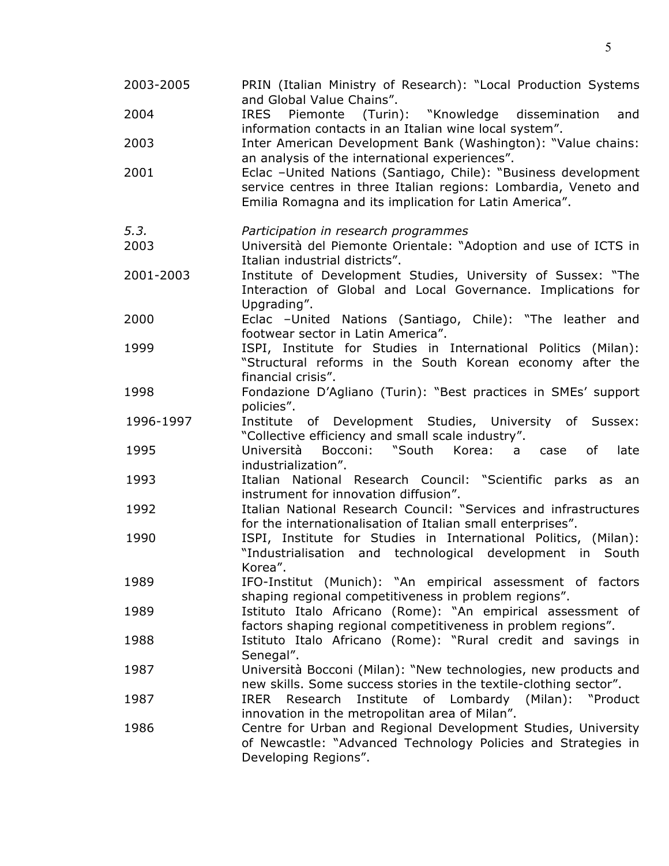| 2003-2005 | PRIN (Italian Ministry of Research): "Local Production Systems<br>and Global Value Chains".                                                                                                 |
|-----------|---------------------------------------------------------------------------------------------------------------------------------------------------------------------------------------------|
| 2004      | (Turin): "Knowledge dissemination<br><b>IRES</b><br>Piemonte<br>and<br>information contacts in an Italian wine local system".                                                               |
| 2003      | Inter American Development Bank (Washington): "Value chains:<br>an analysis of the international experiences".                                                                              |
| 2001      | Eclac -United Nations (Santiago, Chile): "Business development<br>service centres in three Italian regions: Lombardia, Veneto and<br>Emilia Romagna and its implication for Latin America". |
| 5.3.      | Participation in research programmes                                                                                                                                                        |
| 2003      | Università del Piemonte Orientale: "Adoption and use of ICTS in<br>Italian industrial districts".                                                                                           |
| 2001-2003 | Institute of Development Studies, University of Sussex: "The<br>Interaction of Global and Local Governance. Implications for<br>Upgrading".                                                 |
| 2000      | Eclac -United Nations (Santiago, Chile): "The leather and<br>footwear sector in Latin America".                                                                                             |
| 1999      | ISPI, Institute for Studies in International Politics (Milan):<br>"Structural reforms in the South Korean economy after the<br>financial crisis".                                           |
| 1998      | Fondazione D'Agliano (Turin): "Best practices in SMEs' support<br>policies".                                                                                                                |
| 1996-1997 | of Development Studies, University of Sussex:<br>Institute<br>"Collective efficiency and small scale industry".                                                                             |
| 1995      | Bocconi: "South Korea: a<br>Università<br>of<br>late<br>case<br>industrialization".                                                                                                         |
| 1993      | Italian National Research Council: "Scientific parks as an<br>instrument for innovation diffusion".                                                                                         |
| 1992      | Italian National Research Council: "Services and infrastructures<br>for the internationalisation of Italian small enterprises".                                                             |
| 1990      | ISPI, Institute for Studies in International Politics, (Milan):<br>"Industrialisation and technological development in South<br>Korea".                                                     |
| 1989      | IFO-Institut (Munich): "An empirical assessment of factors<br>shaping regional competitiveness in problem regions".                                                                         |
| 1989      | Istituto Italo Africano (Rome): "An empirical assessment of<br>factors shaping regional competitiveness in problem regions".                                                                |
| 1988      | Istituto Italo Africano (Rome): "Rural credit and savings in<br>Senegal".                                                                                                                   |
| 1987      | Università Bocconi (Milan): "New technologies, new products and<br>new skills. Some success stories in the textile-clothing sector".                                                        |
| 1987      | Institute<br><b>IRER</b><br>Research<br>of Lombardy (Milan):<br>"Product<br>innovation in the metropolitan area of Milan".                                                                  |
| 1986      | Centre for Urban and Regional Development Studies, University<br>of Newcastle: "Advanced Technology Policies and Strategies in<br>Developing Regions".                                      |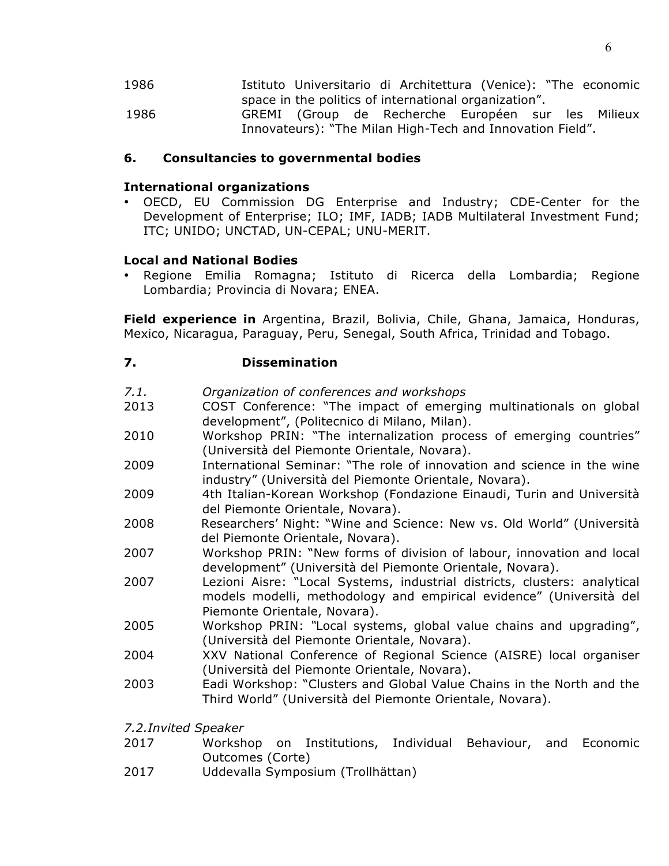1986 Istituto Universitario di Architettura (Venice): "The economic space in the politics of international organization". 1986 GREMI (Group de Recherche Européen sur les Milieux Innovateurs): "The Milan High-Tech and Innovation Field".

#### **6. Consultancies to governmental bodies**

#### **International organizations**

• OECD, EU Commission DG Enterprise and Industry; CDE-Center for the Development of Enterprise; ILO; IMF, IADB; IADB Multilateral Investment Fund; ITC; UNIDO; UNCTAD, UN-CEPAL; UNU-MERIT.

#### **Local and National Bodies**

• Regione Emilia Romagna; Istituto di Ricerca della Lombardia; Regione Lombardia; Provincia di Novara; ENEA.

**Field experience in** Argentina, Brazil, Bolivia, Chile, Ghana, Jamaica, Honduras, Mexico, Nicaragua, Paraguay, Peru, Senegal, South Africa, Trinidad and Tobago.

## **7. Dissemination**

- *7.1. Organization of conferences and workshops*
- 2013 COST Conference: "The impact of emerging multinationals on global development", (Politecnico di Milano, Milan).
- 2010 Workshop PRIN: "The internalization process of emerging countries" (Università del Piemonte Orientale, Novara).
- 2009 International Seminar: "The role of innovation and science in the wine industry" (Università del Piemonte Orientale, Novara).
- 2009 4th Italian-Korean Workshop (Fondazione Einaudi, Turin and Università del Piemonte Orientale, Novara).
- 2008 Researchers' Night: "Wine and Science: New vs. Old World" (Università del Piemonte Orientale, Novara).
- 2007 Workshop PRIN: "New forms of division of labour, innovation and local development" (Università del Piemonte Orientale, Novara).
- 2007 Lezioni Aisre: "Local Systems, industrial districts, clusters: analytical models modelli, methodology and empirical evidence" (Università del Piemonte Orientale, Novara).
- 2005 Workshop PRIN: *"*Local systems, global value chains and upgrading", (Università del Piemonte Orientale, Novara).
- 2004 XXV National Conference of Regional Science (AISRE) local organiser (Università del Piemonte Orientale, Novara).
- 2003 Eadi Workshop: "Clusters and Global Value Chains in the North and the Third World" (Università del Piemonte Orientale, Novara).
- *7.2.Invited Speaker*
- 2017 Workshop on Institutions, Individual Behaviour, and Economic Outcomes (Corte)
- 2017 Uddevalla Symposium (Trollhättan)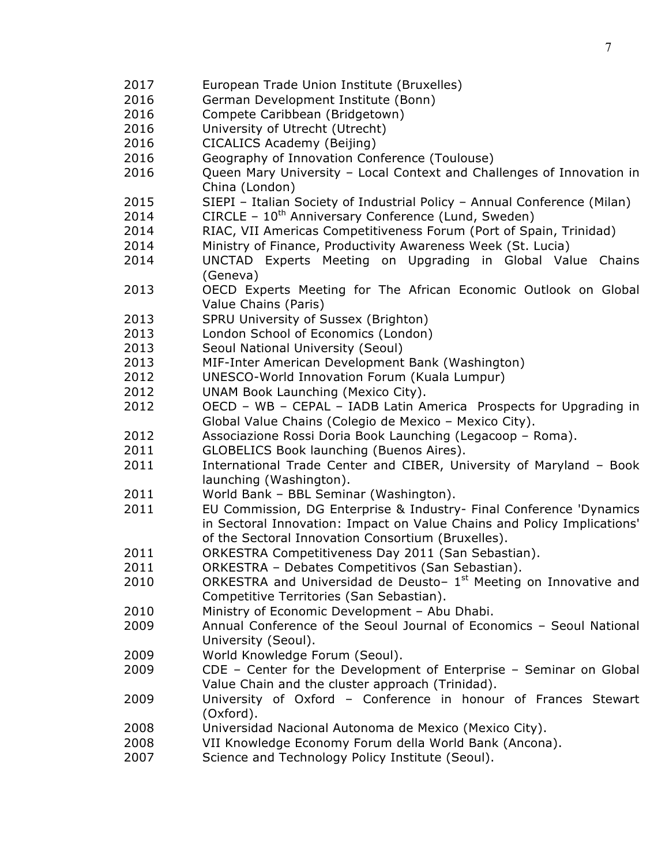European Trade Union Institute (Bruxelles) German Development Institute (Bonn) 2016 Compete Caribbean (Bridgetown) University of Utrecht (Utrecht) CICALICS Academy (Beijing) Geography of Innovation Conference (Toulouse) Queen Mary University – Local Context and Challenges of Innovation in China (London) SIEPI – Italian Society of Industrial Policy – Annual Conference (Milan) 2014 CIRCLE –  $10^{th}$  Anniversary Conference (Lund, Sweden) RIAC, VII Americas Competitiveness Forum (Port of Spain, Trinidad) Ministry of Finance, Productivity Awareness Week (St. Lucia) UNCTAD Experts Meeting on Upgrading in Global Value Chains (Geneva) OECD Experts Meeting for The African Economic Outlook on Global Value Chains (Paris) SPRU University of Sussex (Brighton) London School of Economics (London) Seoul National University (Seoul) MIF-Inter American Development Bank (Washington) UNESCO-World Innovation Forum (Kuala Lumpur) UNAM Book Launching (Mexico City). OECD – WB – CEPAL – IADB Latin America Prospects for Upgrading in Global Value Chains (Colegio de Mexico – Mexico City). 2012 Associazione Rossi Doria Book Launching (Legacoop – Roma). GLOBELICS Book launching (Buenos Aires). 2011 International Trade Center and CIBER, University of Maryland - Book launching (Washington). World Bank – BBL Seminar (Washington). EU Commission, DG Enterprise & Industry- Final Conference 'Dynamics in Sectoral Innovation: Impact on Value Chains and Policy Implications' of the Sectoral Innovation Consortium (Bruxelles). ORKESTRA Competitiveness Day 2011 (San Sebastian). ORKESTRA – Debates Competitivos (San Sebastian). 2010 ORKESTRA and Universidad de Deusto-  $1<sup>st</sup>$  Meeting on Innovative and Competitive Territories (San Sebastian). Ministry of Economic Development – Abu Dhabi. Annual Conference of the Seoul Journal of Economics – Seoul National University (Seoul). World Knowledge Forum (Seoul). CDE – Center for the Development of Enterprise – Seminar on Global Value Chain and the cluster approach (Trinidad). University of Oxford – Conference in honour of Frances Stewart (Oxford). Universidad Nacional Autonoma de Mexico (Mexico City). VII Knowledge Economy Forum della World Bank (Ancona). Science and Technology Policy Institute (Seoul).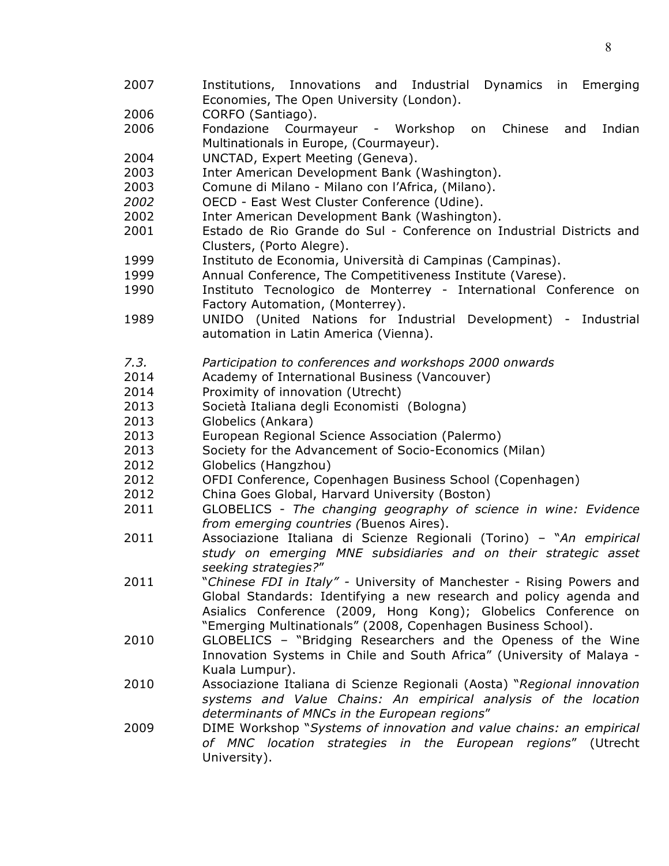- Institutions, Innovations and Industrial Dynamics in Emerging Economies, The Open University (London).
- CORFO (Santiago).
- Fondazione Courmayeur Workshop on Chinese and Indian Multinationals in Europe, (Courmayeur).
- UNCTAD, Expert Meeting (Geneva).
- Inter American Development Bank (Washington).

Comune di Milano - Milano con l'Africa, (Milano).

OECD - East West Cluster Conference (Udine).

- Inter American Development Bank (Washington).
- Estado de Rio Grande do Sul Conference on Industrial Districts and Clusters, (Porto Alegre).
- Instituto de Economia, Università di Campinas (Campinas).
- Annual Conference, The Competitiveness Institute (Varese).
- Instituto Tecnologico de Monterrey International Conference on Factory Automation, (Monterrey).
- UNIDO (United Nations for Industrial Development) Industrial automation in Latin America (Vienna).
- *7.3. Participation to conferences and workshops 2000 onwards*
- Academy of International Business (Vancouver)
- Proximity of innovation (Utrecht)
- Società Italiana degli Economisti (Bologna)
- Globelics (Ankara)
- European Regional Science Association (Palermo)
- Society for the Advancement of Socio-Economics (Milan)
- Globelics (Hangzhou)
- OFDI Conference, Copenhagen Business School (Copenhagen)
- China Goes Global, Harvard University (Boston)
- GLOBELICS *The changing geography of science in wine: Evidence from emerging countries (*Buenos Aires).
- Associazione Italiana di Scienze Regionali (Torino) "*An empirical study on emerging MNE subsidiaries and on their strategic asset seeking strategies?*"
- "*Chinese FDI in Italy" -* University of Manchester Rising Powers and Global Standards: Identifying a new research and policy agenda and Asialics Conference (2009, Hong Kong); Globelics Conference on "Emerging Multinationals" (2008, Copenhagen Business School).
- GLOBELICS "Bridging Researchers and the Openess of the Wine Innovation Systems in Chile and South Africa" (University of Malaya - Kuala Lumpur).
- Associazione Italiana di Scienze Regionali (Aosta) "*Regional innovation systems and Value Chains: An empirical analysis of the location determinants of MNCs in the European regions*"
- DIME Workshop "*Systems of innovation and value chains: an empirical of MNC location strategies in the European regions*" (Utrecht University).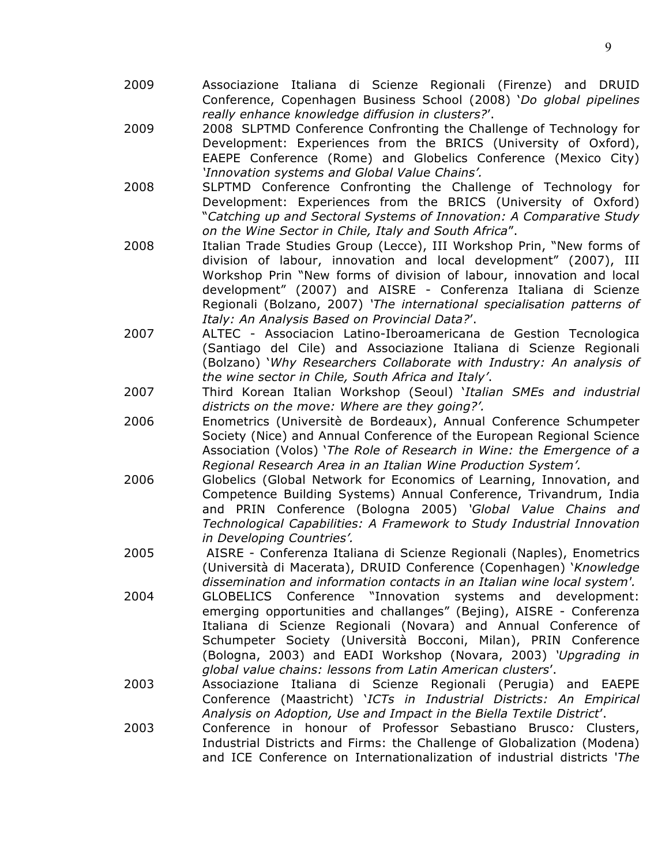- 2009 Associazione Italiana di Scienze Regionali (Firenze) and DRUID Conference, Copenhagen Business School (2008) '*Do global pipelines really enhance knowledge diffusion in clusters?*'.
- 2009 2008 SLPTMD Conference Confronting the Challenge of Technology for Development: Experiences from the BRICS (University of Oxford), EAEPE Conference (Rome) and Globelics Conference (Mexico City) *'Innovation systems and Global Value Chains'.*
- 2008 SLPTMD Conference Confronting the Challenge of Technology for Development: Experiences from the BRICS (University of Oxford) "*Catching up and Sectoral Systems of Innovation: A Comparative Study on the Wine Sector in Chile, Italy and South Africa*".
- 2008 Italian Trade Studies Group (Lecce), III Workshop Prin, "New forms of division of labour, innovation and local development" (2007), III Workshop Prin "New forms of division of labour, innovation and local development" (2007) and AISRE - Conferenza Italiana di Scienze Regionali (Bolzano, 2007) *'The international specialisation patterns of Italy: An Analysis Based on Provincial Data?*'.
- 2007 ALTEC Associacion Latino-Iberoamericana de Gestion Tecnologica (Santiago del Cile) and Associazione Italiana di Scienze Regionali (Bolzano) '*Why Researchers Collaborate with Industry: An analysis of the wine sector in Chile, South Africa and Italy'*.
- 2007 Third Korean Italian Workshop (Seoul) '*Italian SMEs and industrial districts on the move: Where are they going?'.*
- 2006 Enometrics (Universitè de Bordeaux), Annual Conference Schumpeter Society (Nice) and Annual Conference of the European Regional Science Association (Volos) '*The Role of Research in Wine: the Emergence of a Regional Research Area in an Italian Wine Production System'.*
- 2006 Globelics (Global Network for Economics of Learning, Innovation, and Competence Building Systems) Annual Conference, Trivandrum, India and PRIN Conference (Bologna 2005) *'Global Value Chains and Technological Capabilities: A Framework to Study Industrial Innovation in Developing Countries'.*
- 2005 AISRE Conferenza Italiana di Scienze Regionali (Naples), Enometrics (Università di Macerata), DRUID Conference (Copenhagen) '*Knowledge dissemination and information contacts in an Italian wine local system'.*
- 2004 GLOBELICS Conference "Innovation systems and development: emerging opportunities and challanges" (Bejing), AISRE - Conferenza Italiana di Scienze Regionali (Novara) and Annual Conference of Schumpeter Society (Università Bocconi, Milan), PRIN Conference (Bologna, 2003) and EADI Workshop (Novara, 2003) *'Upgrading in global value chains: lessons from Latin American clusters*'.
- 2003 Associazione Italiana di Scienze Regionali (Perugia) and EAEPE Conference (Maastricht) '*ICTs in Industrial Districts: An Empirical Analysis on Adoption, Use and Impact in the Biella Textile District*'.
- 2003 Conference in honour of Professor Sebastiano Brusco*:* Clusters, Industrial Districts and Firms: the Challenge of Globalization (Modena) and ICE Conference on Internationalization of industrial districts '*The*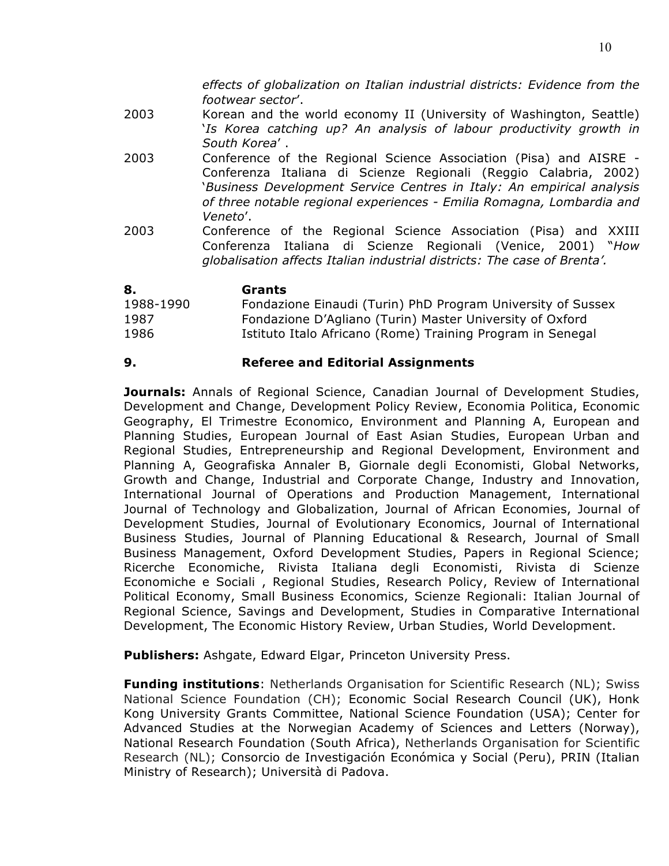*effects of globalization on Italian industrial districts: Evidence from the footwear sector*'.

- 2003 Korean and the world economy II (University of Washington, Seattle) '*Is Korea catching up? An analysis of labour productivity growth in South Korea*' .
- 2003 Conference of the Regional Science Association (Pisa) and AISRE Conferenza Italiana di Scienze Regionali (Reggio Calabria, 2002) '*Business Development Service Centres in Italy: An empirical analysis of three notable regional experiences - Emilia Romagna, Lombardia and Veneto*'.
- 2003 Conference of the Regional Science Association (Pisa) and XXIII Conferenza Italiana di Scienze Regionali (Venice, 2001) "*How globalisation affects Italian industrial districts: The case of Brenta'.*

| 8.        | Grants                                                      |
|-----------|-------------------------------------------------------------|
| 1988-1990 | Fondazione Einaudi (Turin) PhD Program University of Sussex |
| 1987      | Fondazione D'Agliano (Turin) Master University of Oxford    |
| 1986      | Istituto Italo Africano (Rome) Training Program in Senegal  |

## **9. Referee and Editorial Assignments**

**Journals:** Annals of Regional Science, Canadian Journal of Development Studies, Development and Change, Development Policy Review, Economia Politica, Economic Geography, El Trimestre Economico, Environment and Planning A, European and Planning Studies, European Journal of East Asian Studies, European Urban and Regional Studies, Entrepreneurship and Regional Development, Environment and Planning A, Geografiska Annaler B, Giornale degli Economisti, Global Networks, Growth and Change, Industrial and Corporate Change, Industry and Innovation, International Journal of Operations and Production Management, International Journal of Technology and Globalization, Journal of African Economies, Journal of Development Studies, Journal of Evolutionary Economics, Journal of International Business Studies, Journal of Planning Educational & Research, Journal of Small Business Management, Oxford Development Studies, Papers in Regional Science; Ricerche Economiche, Rivista Italiana degli Economisti, Rivista di Scienze Economiche e Sociali , Regional Studies, Research Policy, Review of International Political Economy, Small Business Economics, Scienze Regionali: Italian Journal of Regional Science, Savings and Development, Studies in Comparative International Development, The Economic History Review, Urban Studies, World Development.

**Publishers:** Ashgate, Edward Elgar, Princeton University Press.

**Funding institutions**: Netherlands Organisation for Scientific Research (NL); Swiss National Science Foundation (CH); Economic Social Research Council (UK), Honk Kong University Grants Committee, National Science Foundation (USA); Center for Advanced Studies at the Norwegian Academy of Sciences and Letters (Norway), National Research Foundation (South Africa), Netherlands Organisation for Scientific Research (NL); Consorcio de Investigación Económica y Social (Peru), PRIN (Italian Ministry of Research); Università di Padova.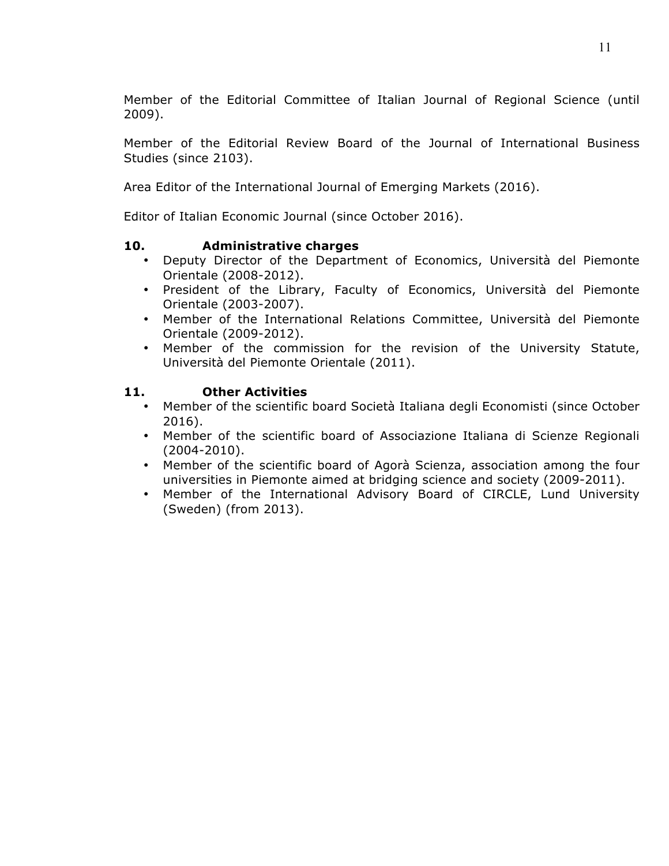Member of the Editorial Committee of Italian Journal of Regional Science (until 2009).

Member of the Editorial Review Board of the Journal of International Business Studies (since 2103).

Area Editor of the International Journal of Emerging Markets (2016).

Editor of Italian Economic Journal (since October 2016).

#### **10. Administrative charges**

- Deputy Director of the Department of Economics, Università del Piemonte Orientale (2008-2012).
- President of the Library, Faculty of Economics, Università del Piemonte Orientale (2003-2007).
- Member of the International Relations Committee, Università del Piemonte Orientale (2009-2012).
- Member of the commission for the revision of the University Statute, Università del Piemonte Orientale (2011).

## **11. Other Activities**

- Member of the scientific board Società Italiana degli Economisti (since October 2016).
- Member of the scientific board of Associazione Italiana di Scienze Regionali (2004-2010).
- Member of the scientific board of Agorà Scienza, association among the four universities in Piemonte aimed at bridging science and society (2009-2011).
- Member of the International Advisory Board of CIRCLE, Lund University (Sweden) (from 2013).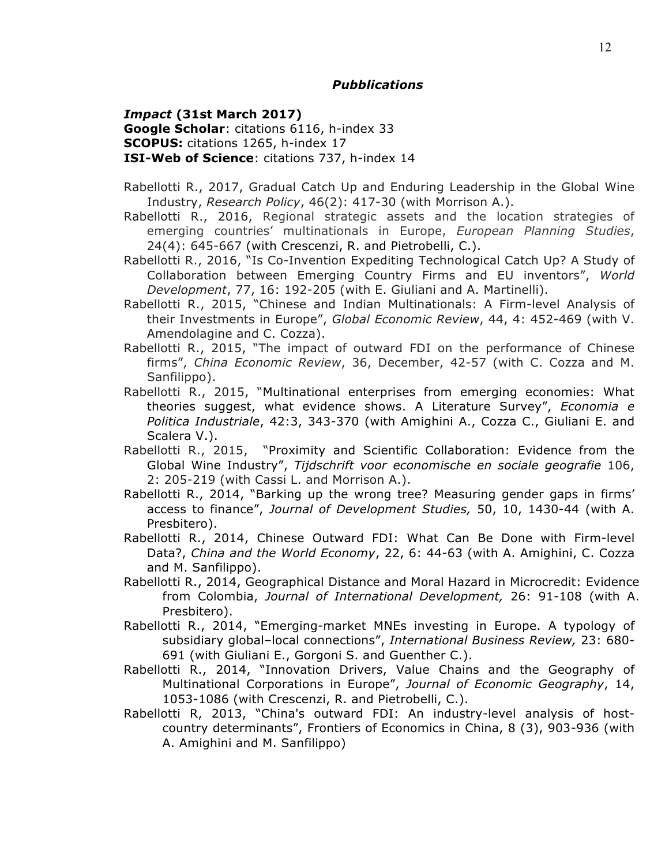#### *Pubblications*

*Impact* **(31st March 2017) Google Scholar**: citations 6116, h-index 33 **SCOPUS:** citations 1265, h-index 17 **ISI-Web of Science**: citations 737, h-index 14

- Rabellotti R., 2017, Gradual Catch Up and Enduring Leadership in the Global Wine Industry, *Research Policy*, 46(2): 417-30 (with Morrison A.).
- Rabellotti R., 2016, Regional strategic assets and the location strategies of emerging countries' multinationals in Europe, *European Planning Studies*, 24(4): 645-667 (with Crescenzi, R. and Pietrobelli, C.).
- Rabellotti R., 2016, "Is Co-Invention Expediting Technological Catch Up? A Study of Collaboration between Emerging Country Firms and EU inventors", *World Development*, 77, 16: 192-205 (with E. Giuliani and A. Martinelli).
- Rabellotti R., 2015, "Chinese and Indian Multinationals: A Firm-level Analysis of their Investments in Europe", *Global Economic Review*, 44, 4: 452-469 (with V. Amendolagine and C. Cozza).
- Rabellotti R., 2015, "The impact of outward FDI on the performance of Chinese firms", *China Economic Review*, 36, December, 42-57 (with C. Cozza and M. Sanfilippo).
- Rabellotti R., 2015, "Multinational enterprises from emerging economies: What theories suggest, what evidence shows. A Literature Survey", *Economia e Politica Industriale*, 42:3, 343-370 (with Amighini A., Cozza C., Giuliani E. and Scalera V.).
- Rabellotti R., 2015, "Proximity and Scientific Collaboration: Evidence from the Global Wine Industry", *Tijdschrift voor economische en sociale geografie* 106, 2: 205-219 (with Cassi L. and Morrison A.).
- Rabellotti R., 2014, "Barking up the wrong tree? Measuring gender gaps in firms' access to finance", *Journal of Development Studies,* 50, 10, 1430-44 (with A. Presbitero).
- Rabellotti R., 2014, Chinese Outward FDI: What Can Be Done with Firm-level Data?, *China and the World Economy*, 22, 6: 44-63 (with A. Amighini, C. Cozza and M. Sanfilippo).
- Rabellotti R., 2014, Geographical Distance and Moral Hazard in Microcredit: Evidence from Colombia, *Journal of International Development,* 26: 91-108 (with A. Presbitero).
- Rabellotti R., 2014, "Emerging-market MNEs investing in Europe. A typology of subsidiary global–local connections", *International Business Review,* 23: 680- 691 (with Giuliani E., Gorgoni S. and Guenther C.).
- Rabellotti R., 2014, "Innovation Drivers, Value Chains and the Geography of Multinational Corporations in Europe", *Journal of Economic Geography*, 14, 1053-1086 (with Crescenzi, R. and Pietrobelli, C.).
- Rabellotti R, 2013, "China's outward FDI: An industry-level analysis of hostcountry determinants", Frontiers of Economics in China, 8 (3), 903-936 (with A. Amighini and M. Sanfilippo)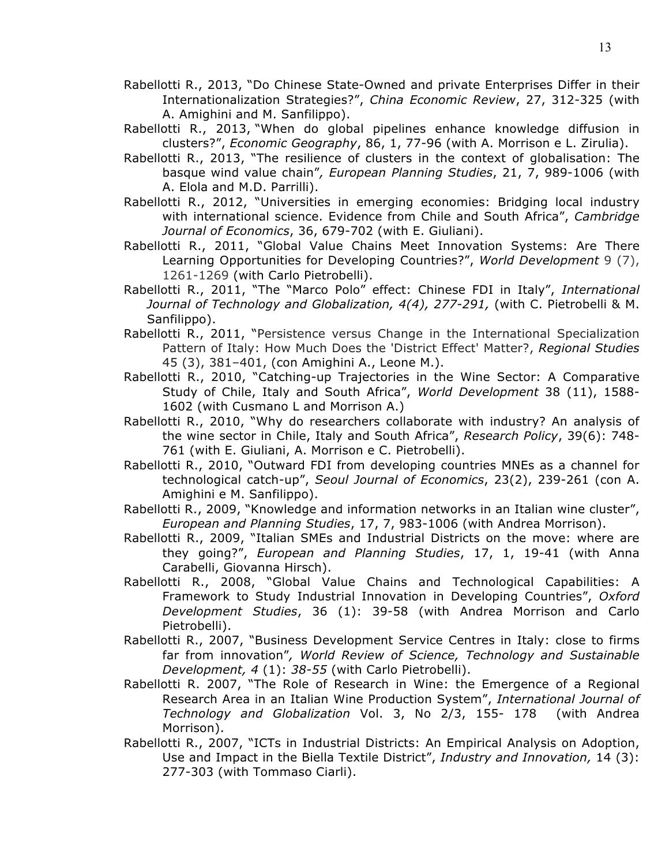- Rabellotti R., 2013, "Do Chinese State-Owned and private Enterprises Differ in their Internationalization Strategies?", *China Economic Review*, 27, 312-325 (with A. Amighini and M. Sanfilippo).
- Rabellotti R., 2013, "When do global pipelines enhance knowledge diffusion in clusters?", *Economic Geography*, 86, 1, 77-96 (with A. Morrison e L. Zirulia).
- Rabellotti R., 2013, "The resilience of clusters in the context of globalisation: The basque wind value chain"*, European Planning Studies*, 21, 7, 989-1006 (with A. Elola and M.D. Parrilli).
- Rabellotti R., 2012, "Universities in emerging economies: Bridging local industry with international science. Evidence from Chile and South Africa", *Cambridge Journal of Economics*, 36, 679-702 (with E. Giuliani).
- Rabellotti R., 2011, "Global Value Chains Meet Innovation Systems: Are There Learning Opportunities for Developing Countries?", *World Development* 9 (7), 1261-1269 (with Carlo Pietrobelli).
- Rabellotti R., 2011, "The "Marco Polo" effect: Chinese FDI in Italy", *International Journal of Technology and Globalization, 4(4), 277-291,* (with C. Pietrobelli & M. Sanfilippo).
- Rabellotti R., 2011, "Persistence versus Change in the International Specialization Pattern of Italy: How Much Does the 'District Effect' Matter?, *Regional Studies*  45 (3), 381–401, (con Amighini A., Leone M.).
- Rabellotti R., 2010, "Catching-up Trajectories in the Wine Sector: A Comparative Study of Chile, Italy and South Africa", *World Development* 38 (11), 1588- 1602 (with Cusmano L and Morrison A.)
- Rabellotti R., 2010, "Why do researchers collaborate with industry? An analysis of the wine sector in Chile, Italy and South Africa", *Research Policy*, 39(6): 748- 761 (with E. Giuliani, A. Morrison e C. Pietrobelli).
- Rabellotti R., 2010, "Outward FDI from developing countries MNEs as a channel for technological catch-up", *Seoul Journal of Economics*, 23(2), 239-261 (con A. Amighini e M. Sanfilippo).
- Rabellotti R., 2009, "Knowledge and information networks in an Italian wine cluster", *European and Planning Studies*, 17, 7, 983-1006 (with Andrea Morrison).
- Rabellotti R., 2009, "Italian SMEs and Industrial Districts on the move: where are they going?", *European and Planning Studies*, 17, 1, 19-41 (with Anna Carabelli, Giovanna Hirsch).
- Rabellotti R., 2008, "Global Value Chains and Technological Capabilities: A Framework to Study Industrial Innovation in Developing Countries", *Oxford Development Studies*, 36 (1): 39-58 (with Andrea Morrison and Carlo Pietrobelli).
- Rabellotti R., 2007, "Business Development Service Centres in Italy: close to firms far from innovation"*, World Review of Science, Technology and Sustainable Development, 4* (1): *38-55* (with Carlo Pietrobelli).
- Rabellotti R. 2007, "The Role of Research in Wine: the Emergence of a Regional Research Area in an Italian Wine Production System", *International Journal of Technology and Globalization* Vol. 3, No 2/3, 155- 178 (with Andrea Morrison).
- Rabellotti R., 2007, "ICTs in Industrial Districts: An Empirical Analysis on Adoption, Use and Impact in the Biella Textile District", *Industry and Innovation,* 14 (3): 277-303 (with Tommaso Ciarli).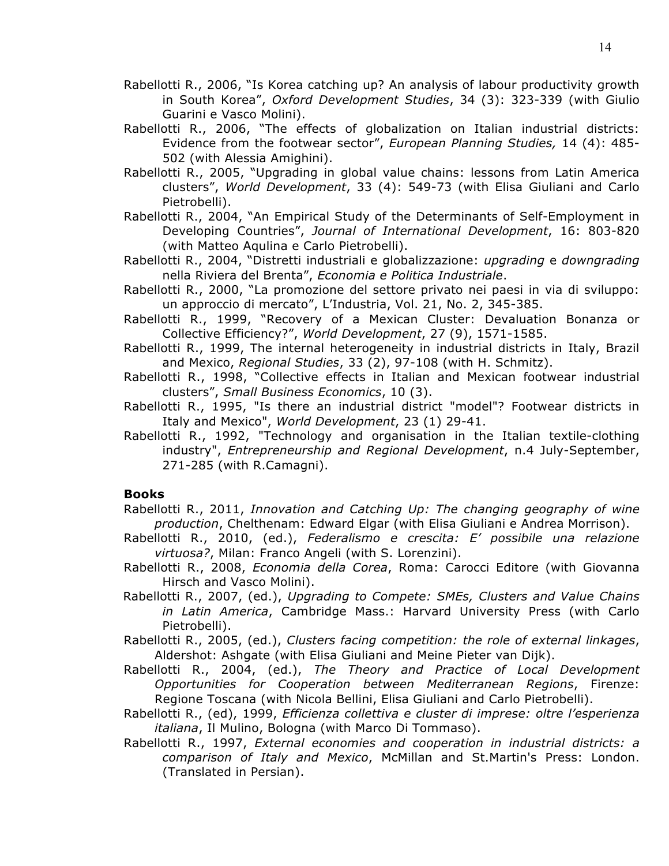- Rabellotti R., 2006, "Is Korea catching up? An analysis of labour productivity growth in South Korea", *Oxford Development Studies*, 34 (3): 323-339 (with Giulio Guarini e Vasco Molini).
- Rabellotti R., 2006, "The effects of globalization on Italian industrial districts: Evidence from the footwear sector", *European Planning Studies,* 14 (4): 485- 502 (with Alessia Amighini).
- Rabellotti R., 2005, "Upgrading in global value chains: lessons from Latin America clusters", *World Development*, 33 (4): 549-73 (with Elisa Giuliani and Carlo Pietrobelli).
- Rabellotti R., 2004, "An Empirical Study of the Determinants of Self-Employment in Developing Countries", *Journal of International Development*, 16: 803-820 (with Matteo Aqulina e Carlo Pietrobelli).
- Rabellotti R., 2004, "Distretti industriali e globalizzazione: *upgrading* e *downgrading* nella Riviera del Brenta", *Economia e Politica Industriale*.
- Rabellotti R., 2000, "La promozione del settore privato nei paesi in via di sviluppo: un approccio di mercato", L'Industria, Vol. 21, No. 2, 345-385.
- Rabellotti R., 1999, "Recovery of a Mexican Cluster: Devaluation Bonanza or Collective Efficiency?", *World Development*, 27 (9), 1571-1585.
- Rabellotti R., 1999, The internal heterogeneity in industrial districts in Italy, Brazil and Mexico, *Regional Studies*, 33 (2), 97-108 (with H. Schmitz).
- Rabellotti R., 1998, "Collective effects in Italian and Mexican footwear industrial clusters", *Small Business Economics*, 10 (3).
- Rabellotti R., 1995, "Is there an industrial district "model"? Footwear districts in Italy and Mexico", *World Development*, 23 (1) 29-41.
- Rabellotti R., 1992, "Technology and organisation in the Italian textile-clothing industry", *Entrepreneurship and Regional Development*, n.4 July-September, 271-285 (with R.Camagni).

## **Books**

- Rabellotti R., 2011, *Innovation and Catching Up: The changing geography of wine production*, Chelthenam: Edward Elgar (with Elisa Giuliani e Andrea Morrison).
- Rabellotti R., 2010, (ed.), *Federalismo e crescita: E' possibile una relazione virtuosa?*, Milan: Franco Angeli (with S. Lorenzini).
- Rabellotti R., 2008, *Economia della Corea*, Roma: Carocci Editore (with Giovanna Hirsch and Vasco Molini).
- Rabellotti R., 2007, (ed.), *Upgrading to Compete: SMEs, Clusters and Value Chains in Latin America*, Cambridge Mass.: Harvard University Press (with Carlo Pietrobelli).
- Rabellotti R., 2005, (ed.), *Clusters facing competition: the role of external linkages*, Aldershot: Ashgate (with Elisa Giuliani and Meine Pieter van Dijk).
- Rabellotti R., 2004, (ed.), *The Theory and Practice of Local Development Opportunities for Cooperation between Mediterranean Regions*, Firenze: Regione Toscana (with Nicola Bellini, Elisa Giuliani and Carlo Pietrobelli).
- Rabellotti R., (ed), 1999, *Efficienza collettiva e cluster di imprese: oltre l'esperienza italiana*, Il Mulino, Bologna (with Marco Di Tommaso).
- Rabellotti R., 1997, *External economies and cooperation in industrial districts: a comparison of Italy and Mexico*, McMillan and St.Martin's Press: London. (Translated in Persian).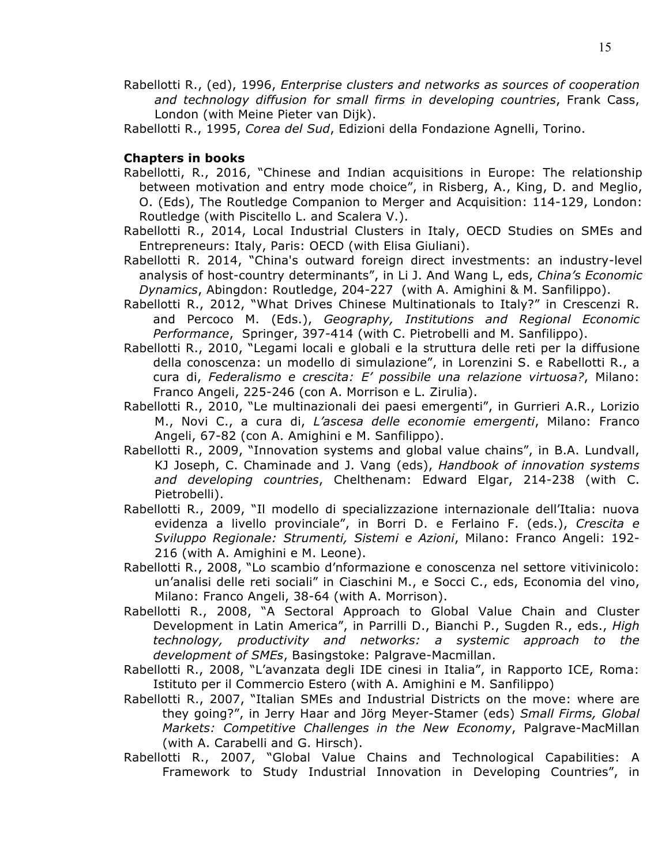- Rabellotti R., (ed), 1996, *Enterprise clusters and networks as sources of cooperation and technology diffusion for small firms in developing countries*, Frank Cass, London (with Meine Pieter van Dijk).
- Rabellotti R., 1995, *Corea del Sud*, Edizioni della Fondazione Agnelli, Torino.

#### **Chapters in books**

- Rabellotti, R., 2016, "Chinese and Indian acquisitions in Europe: The relationship between motivation and entry mode choice", in Risberg, A., King, D. and Meglio, O. (Eds), The Routledge Companion to Merger and Acquisition: 114-129, London: Routledge (with Piscitello L. and Scalera V.).
- Rabellotti R., 2014, Local Industrial Clusters in Italy, OECD Studies on SMEs and Entrepreneurs: Italy, Paris: OECD (with Elisa Giuliani).
- Rabellotti R. 2014, "China's outward foreign direct investments: an industry-level analysis of host-country determinants", in Li J. And Wang L, eds, *China's Economic Dynamics*, Abingdon: Routledge, 204-227(with A. Amighini & M. Sanfilippo).
- Rabellotti R., 2012, "What Drives Chinese Multinationals to Italy?" in Crescenzi R. and Percoco M. (Eds.), *Geography, Institutions and Regional Economic Performance*, Springer, 397-414 (with C. Pietrobelli and M. Sanfilippo).
- Rabellotti R., 2010, "Legami locali e globali e la struttura delle reti per la diffusione della conoscenza: un modello di simulazione", in Lorenzini S. e Rabellotti R., a cura di, *Federalismo e crescita: E' possibile una relazione virtuosa?*, Milano: Franco Angeli, 225-246 (con A. Morrison e L. Zirulia).
- Rabellotti R., 2010, "Le multinazionali dei paesi emergenti", in Gurrieri A.R., Lorizio M., Novi C., a cura di, *L'ascesa delle economie emergenti*, Milano: Franco Angeli, 67-82 (con A. Amighini e M. Sanfilippo).
- Rabellotti R., 2009, "Innovation systems and global value chains", in B.A. Lundvall, KJ Joseph, C. Chaminade and J. Vang (eds), *Handbook of innovation systems and developing countries*, Chelthenam: Edward Elgar, 214-238 (with C. Pietrobelli).
- Rabellotti R., 2009, "Il modello di specializzazione internazionale dell'Italia: nuova evidenza a livello provinciale", in Borri D. e Ferlaino F. (eds.), *Crescita e Sviluppo Regionale: Strumenti, Sistemi e Azioni*, Milano: Franco Angeli: 192- 216 (with A. Amighini e M. Leone).
- Rabellotti R., 2008, "Lo scambio d'nformazione e conoscenza nel settore vitivinicolo: un'analisi delle reti sociali" in Ciaschini M., e Socci C., eds, Economia del vino, Milano: Franco Angeli, 38-64 (with A. Morrison).
- Rabellotti R., 2008, "A Sectoral Approach to Global Value Chain and Cluster Development in Latin America", in Parrilli D., Bianchi P., Sugden R., eds., *High technology, productivity and networks: a systemic approach to the development of SMEs*, Basingstoke: Palgrave-Macmillan.
- Rabellotti R., 2008, "L'avanzata degli IDE cinesi in Italia", in Rapporto ICE, Roma: Istituto per il Commercio Estero (with A. Amighini e M. Sanfilippo)
- Rabellotti R., 2007, "Italian SMEs and Industrial Districts on the move: where are they going?", in Jerry Haar and Jörg Meyer-Stamer (eds) *Small Firms, Global Markets: Competitive Challenges in the New Economy*, Palgrave-MacMillan (with A. Carabelli and G. Hirsch).
- Rabellotti R., 2007, "Global Value Chains and Technological Capabilities: A Framework to Study Industrial Innovation in Developing Countries", in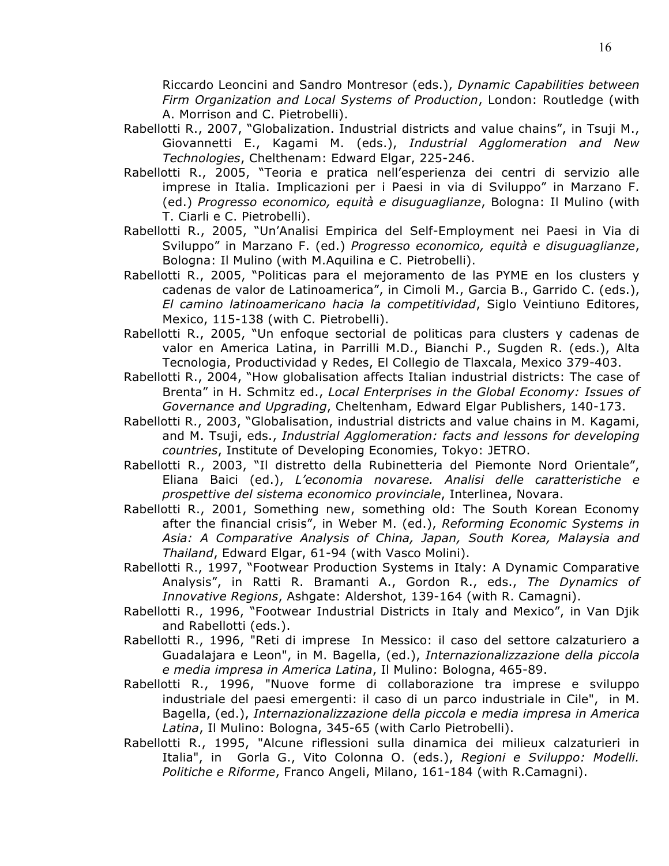Riccardo Leoncini and Sandro Montresor (eds.), *Dynamic Capabilities between Firm Organization and Local Systems of Production*, London: Routledge (with A. Morrison and C. Pietrobelli).

- Rabellotti R., 2007, "Globalization. Industrial districts and value chains", in Tsuji M., Giovannetti E., Kagami M. (eds.), *Industrial Agglomeration and New Technologies*, Chelthenam: Edward Elgar, 225-246.
- Rabellotti R., 2005, "Teoria e pratica nell'esperienza dei centri di servizio alle imprese in Italia. Implicazioni per i Paesi in via di Sviluppo" in Marzano F. (ed.) *Progresso economico, equità e disuguaglianze*, Bologna: Il Mulino (with T. Ciarli e C. Pietrobelli).
- Rabellotti R., 2005, "Un'Analisi Empirica del Self-Employment nei Paesi in Via di Sviluppo" in Marzano F. (ed.) *Progresso economico, equità e disuguaglianze*, Bologna: Il Mulino (with M.Aquilina e C. Pietrobelli).
- Rabellotti R., 2005, "Politicas para el mejoramento de las PYME en los clusters y cadenas de valor de Latinoamerica", in Cimoli M., Garcia B., Garrido C. (eds.), *El camino latinoamericano hacia la competitividad*, Siglo Veintiuno Editores, Mexico, 115-138 (with C. Pietrobelli).
- Rabellotti R., 2005, "Un enfoque sectorial de politicas para clusters y cadenas de valor en America Latina, in Parrilli M.D., Bianchi P., Sugden R. (eds.), Alta Tecnologia, Productividad y Redes, El Collegio de Tlaxcala, Mexico 379-403.
- Rabellotti R., 2004, "How globalisation affects Italian industrial districts: The case of Brenta" in H. Schmitz ed., *Local Enterprises in the Global Economy: Issues of Governance and Upgrading*, Cheltenham, Edward Elgar Publishers, 140-173.
- Rabellotti R., 2003, "Globalisation, industrial districts and value chains in M. Kagami, and M. Tsuji, eds., *Industrial Agglomeration: facts and lessons for developing countries*, Institute of Developing Economies, Tokyo: JETRO.
- Rabellotti R., 2003, "Il distretto della Rubinetteria del Piemonte Nord Orientale", Eliana Baici (ed.), *L'economia novarese. Analisi delle caratteristiche e prospettive del sistema economico provinciale*, Interlinea, Novara.
- Rabellotti R., 2001, Something new, something old: The South Korean Economy after the financial crisis", in Weber M. (ed.), *Reforming Economic Systems in Asia: A Comparative Analysis of China, Japan, South Korea, Malaysia and Thailand*, Edward Elgar, 61-94 (with Vasco Molini).
- Rabellotti R., 1997, "Footwear Production Systems in Italy: A Dynamic Comparative Analysis", in Ratti R. Bramanti A., Gordon R., eds., *The Dynamics of Innovative Regions*, Ashgate: Aldershot, 139-164 (with R. Camagni).
- Rabellotti R., 1996, "Footwear Industrial Districts in Italy and Mexico", in Van Djik and Rabellotti (eds.).
- Rabellotti R., 1996, "Reti di imprese In Messico: il caso del settore calzaturiero a Guadalajara e Leon", in M. Bagella, (ed.), *Internazionalizzazione della piccola e media impresa in America Latina*, Il Mulino: Bologna, 465-89.
- Rabellotti R., 1996, "Nuove forme di collaborazione tra imprese e sviluppo industriale del paesi emergenti: il caso di un parco industriale in Cile", in M. Bagella, (ed.), *Internazionalizzazione della piccola e media impresa in America Latina*, Il Mulino: Bologna, 345-65 (with Carlo Pietrobelli).
- Rabellotti R., 1995, "Alcune riflessioni sulla dinamica dei milieux calzaturieri in Italia", in Gorla G., Vito Colonna O. (eds.), *Regioni e Sviluppo: Modelli. Politiche e Riforme*, Franco Angeli, Milano, 161-184 (with R.Camagni).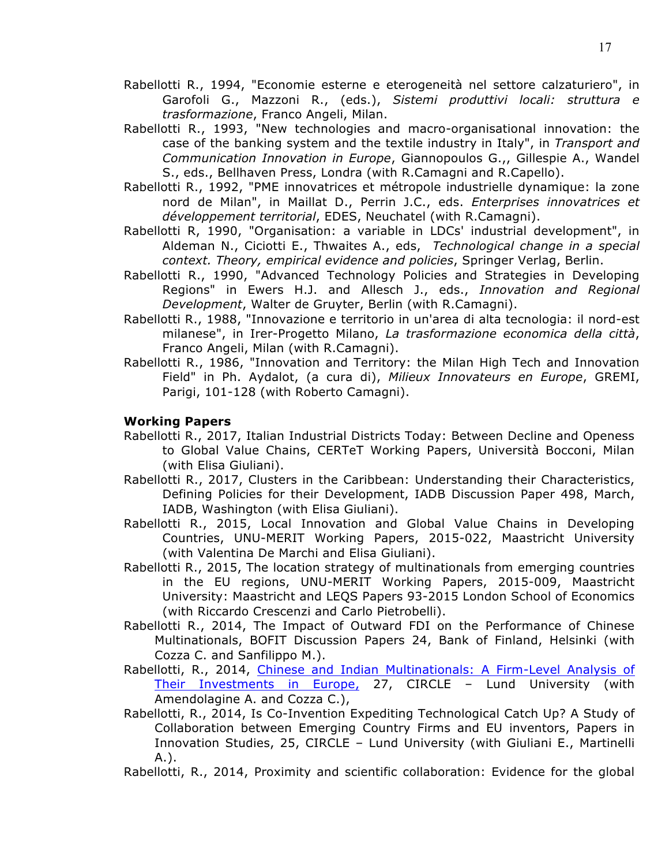- Rabellotti R., 1994, "Economie esterne e eterogeneità nel settore calzaturiero", in Garofoli G., Mazzoni R., (eds.), *Sistemi produttivi locali: struttura e trasformazione*, Franco Angeli, Milan.
- Rabellotti R., 1993, "New technologies and macro-organisational innovation: the case of the banking system and the textile industry in Italy", in *Transport and Communication Innovation in Europe*, Giannopoulos G.,, Gillespie A., Wandel S., eds., Bellhaven Press, Londra (with R.Camagni and R.Capello).
- Rabellotti R., 1992, "PME innovatrices et métropole industrielle dynamique: la zone nord de Milan", in Maillat D., Perrin J.C., eds. *Enterprises innovatrices et développement territorial*, EDES, Neuchatel (with R.Camagni).
- Rabellotti R, 1990, "Organisation: a variable in LDCs' industrial development", in Aldeman N., Ciciotti E., Thwaites A., eds, *Technological change in a special context. Theory, empirical evidence and policies*, Springer Verlag, Berlin.
- Rabellotti R., 1990, "Advanced Technology Policies and Strategies in Developing Regions" in Ewers H.J. and Allesch J., eds., *Innovation and Regional Development*, Walter de Gruyter, Berlin (with R.Camagni).
- Rabellotti R., 1988, "Innovazione e territorio in un'area di alta tecnologia: il nord-est milanese", in Irer-Progetto Milano, *La trasformazione economica della città*, Franco Angeli, Milan (with R.Camagni).
- Rabellotti R., 1986, "Innovation and Territory: the Milan High Tech and Innovation Field" in Ph. Aydalot, (a cura di), *Milieux Innovateurs en Europe*, GREMI, Parigi, 101-128 (with Roberto Camagni).

## **Working Papers**

- Rabellotti R., 2017, Italian Industrial Districts Today: Between Decline and Openess to Global Value Chains, CERTeT Working Papers, Università Bocconi, Milan (with Elisa Giuliani).
- Rabellotti R., 2017, Clusters in the Caribbean: Understanding their Characteristics, Defining Policies for their Development, IADB Discussion Paper 498, March, IADB, Washington (with Elisa Giuliani).
- Rabellotti R., 2015, Local Innovation and Global Value Chains in Developing Countries, UNU-MERIT Working Papers, 2015-022, Maastricht University (with Valentina De Marchi and Elisa Giuliani).
- Rabellotti R., 2015, The location strategy of multinationals from emerging countries in the EU regions, UNU-MERIT Working Papers, 2015-009, Maastricht University: Maastricht and LEQS Papers 93-2015 London School of Economics (with Riccardo Crescenzi and Carlo Pietrobelli).
- Rabellotti R., 2014, The Impact of Outward FDI on the Performance of Chinese Multinationals, BOFIT Discussion Papers 24, Bank of Finland, Helsinki (with Cozza C. and Sanfilippo M.).
- Rabellotti, R., 2014, Chinese and Indian Multinationals: A Firm-Level Analysis of Their Investments in Europe, 27, CIRCLE – Lund University (with Amendolagine A. and Cozza C.),
- Rabellotti, R., 2014, Is Co-Invention Expediting Technological Catch Up? A Study of Collaboration between Emerging Country Firms and EU inventors, Papers in Innovation Studies, 25, CIRCLE – Lund University (with Giuliani E., Martinelli A.).
- Rabellotti, R., 2014, Proximity and scientific collaboration: Evidence for the global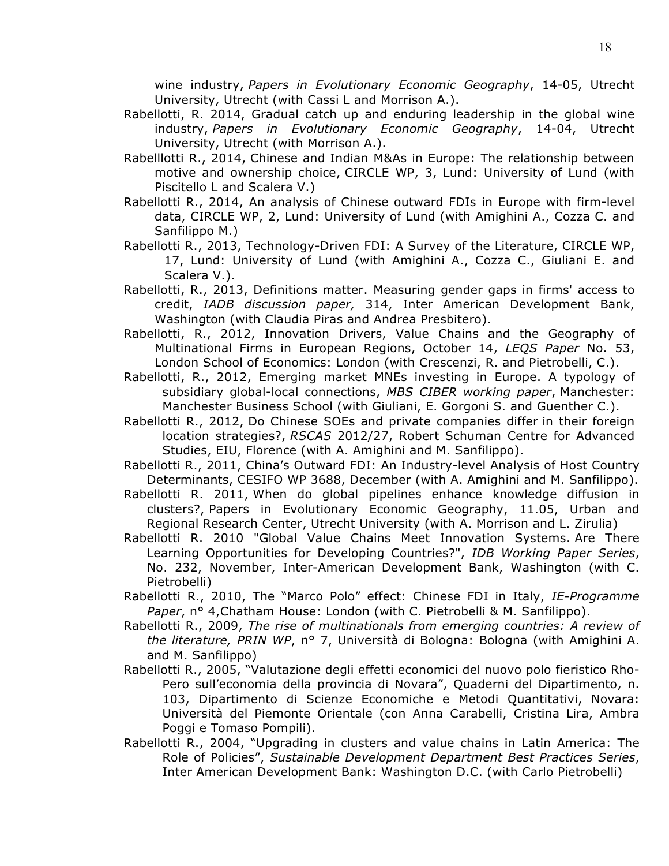wine industry, *Papers in Evolutionary Economic Geography*, 14-05, Utrecht University, Utrecht (with Cassi L and Morrison A.).

- Rabellotti, R. 2014, Gradual catch up and enduring leadership in the global wine industry, *Papers in Evolutionary Economic Geography*, 14-04, Utrecht University, Utrecht (with Morrison A.).
- Rabelllotti R., 2014, Chinese and Indian M&As in Europe: The relationship between motive and ownership choice, CIRCLE WP, 3, Lund: University of Lund (with Piscitello L and Scalera V.)
- Rabellotti R., 2014, An analysis of Chinese outward FDIs in Europe with firm-level data, CIRCLE WP, 2, Lund: University of Lund (with Amighini A., Cozza C. and Sanfilippo M.)
- Rabellotti R., 2013, Technology-Driven FDI: A Survey of the Literature, CIRCLE WP, 17, Lund: University of Lund (with Amighini A., Cozza C., Giuliani E. and Scalera V.).
- Rabellotti, R., 2013, Definitions matter. Measuring gender gaps in firms' access to credit, *IADB discussion paper,* 314, Inter American Development Bank, Washington (with Claudia Piras and Andrea Presbitero).
- Rabellotti, R., 2012, Innovation Drivers, Value Chains and the Geography of Multinational Firms in European Regions, October 14, *LEQS Paper* No. 53, London School of Economics: London (with Crescenzi, R. and Pietrobelli, C.).
- Rabellotti, R., 2012, Emerging market MNEs investing in Europe. A typology of subsidiary global-local connections, *MBS CIBER working paper*, Manchester: Manchester Business School (with Giuliani, E. Gorgoni S. and Guenther C.).
- Rabellotti R., 2012, Do Chinese SOEs and private companies differ in their foreign location strategies?, *RSCAS* 2012/27, Robert Schuman Centre for Advanced Studies, EIU, Florence (with A. Amighini and M. Sanfilippo).
- Rabellotti R., 2011, China's Outward FDI: An Industry-level Analysis of Host Country Determinants, CESIFO WP 3688, December (with A. Amighini and M. Sanfilippo).
- Rabellotti R. 2011, When do global pipelines enhance knowledge diffusion in clusters?, Papers in Evolutionary Economic Geography, 11.05, Urban and Regional Research Center, Utrecht University (with A. Morrison and L. Zirulia)
- Rabellotti R. 2010 "Global Value Chains Meet Innovation Systems. Are There Learning Opportunities for Developing Countries?", *IDB Working Paper Series*, No. 232, November, Inter-American Development Bank, Washington (with C. Pietrobelli)
- Rabellotti R., 2010, The "Marco Polo" effect: Chinese FDI in Italy, *IE-Programme Paper*, n° 4,Chatham House: London (with C. Pietrobelli & M. Sanfilippo).
- Rabellotti R., 2009, *The rise of multinationals from emerging countries: A review of the literature, PRIN WP*, n° 7, Università di Bologna: Bologna (with Amighini A. and M. Sanfilippo)
- Rabellotti R., 2005, "Valutazione degli effetti economici del nuovo polo fieristico Rho-Pero sull'economia della provincia di Novara", Quaderni del Dipartimento, n. 103, Dipartimento di Scienze Economiche e Metodi Quantitativi, Novara: Università del Piemonte Orientale (con Anna Carabelli, Cristina Lira, Ambra Poggi e Tomaso Pompili).
- Rabellotti R., 2004, "Upgrading in clusters and value chains in Latin America: The Role of Policies", *Sustainable Development Department Best Practices Series*, Inter American Development Bank: Washington D.C. (with Carlo Pietrobelli)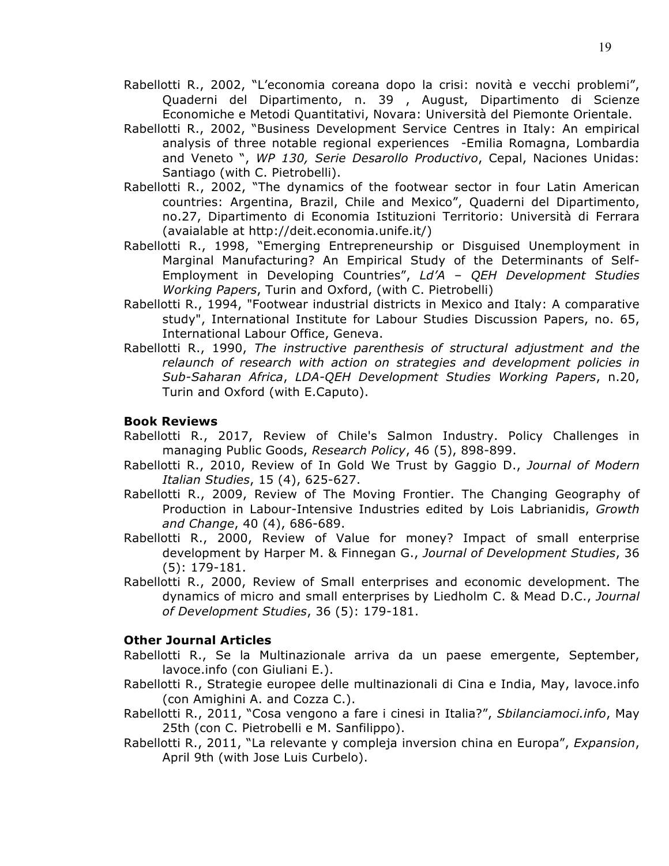- Rabellotti R., 2002, "L'economia coreana dopo la crisi: novità e vecchi problemi", Quaderni del Dipartimento, n. 39 , August, Dipartimento di Scienze Economiche e Metodi Quantitativi, Novara: Università del Piemonte Orientale.
- Rabellotti R., 2002, "Business Development Service Centres in Italy: An empirical analysis of three notable regional experiences -Emilia Romagna, Lombardia and Veneto ", *WP 130, Serie Desarollo Productivo*, Cepal, Naciones Unidas: Santiago (with C. Pietrobelli).
- Rabellotti R., 2002, "The dynamics of the footwear sector in four Latin American countries: Argentina, Brazil, Chile and Mexico", Quaderni del Dipartimento, no.27, Dipartimento di Economia Istituzioni Territorio: Università di Ferrara (avaialable at http://deit.economia.unife.it/)
- Rabellotti R., 1998, "Emerging Entrepreneurship or Disguised Unemployment in Marginal Manufacturing? An Empirical Study of the Determinants of Self-Employment in Developing Countries", *Ld'A – QEH Development Studies Working Papers*, Turin and Oxford, (with C. Pietrobelli)
- Rabellotti R., 1994, "Footwear industrial districts in Mexico and Italy: A comparative study", International Institute for Labour Studies Discussion Papers, no. 65, International Labour Office, Geneva.
- Rabellotti R., 1990, *The instructive parenthesis of structural adjustment and the relaunch of research with action on strategies and development policies in Sub-Saharan Africa*, *LDA-QEH Development Studies Working Papers*, n.20, Turin and Oxford (with E.Caputo).

## **Book Reviews**

- Rabellotti R., 2017, Review of Chile's Salmon Industry. Policy Challenges in managing Public Goods, *Research Policy*, 46 (5), 898-899.
- Rabellotti R., 2010, Review of In Gold We Trust by Gaggio D., *Journal of Modern Italian Studies*, 15 (4), 625-627.
- Rabellotti R., 2009, Review of The Moving Frontier. The Changing Geography of Production in Labour-Intensive Industries edited by Lois Labrianidis, *Growth and Change*, 40 (4), 686-689.
- Rabellotti R., 2000, Review of Value for money? Impact of small enterprise development by Harper M. & Finnegan G., *Journal of Development Studies*, 36 (5): 179-181.
- Rabellotti R., 2000, Review of Small enterprises and economic development. The dynamics of micro and small enterprises by Liedholm C. & Mead D.C., *Journal of Development Studies*, 36 (5): 179-181.

## **Other Journal Articles**

- Rabellotti R., Se la Multinazionale arriva da un paese emergente, September, lavoce.info (con Giuliani E.).
- Rabellotti R., Strategie europee delle multinazionali di Cina e India, May, lavoce.info (con Amighini A. and Cozza C.).
- Rabellotti R., 2011, "Cosa vengono a fare i cinesi in Italia?", *Sbilanciamoci.info*, May 25th (con C. Pietrobelli e M. Sanfilippo).
- Rabellotti R., 2011, "La relevante y compleja inversion china en Europa", *Expansion*, April 9th (with Jose Luis Curbelo).